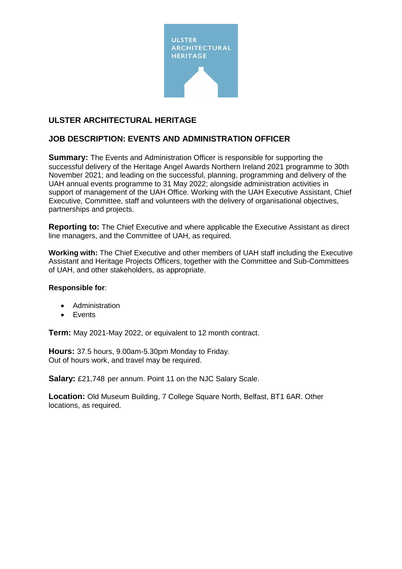

# **ULSTER ARCHITECTURAL HERITAGE**

# **JOB DESCRIPTION: EVENTS AND ADMINISTRATION OFFICER**

**Summary:** The Events and Administration Officer is responsible for supporting the successful delivery of the Heritage Angel Awards Northern Ireland 2021 programme to 30th November 2021; and leading on the successful, planning, programming and delivery of the UAH annual events programme to 31 May 2022; alongside administration activities in support of management of the UAH Office. Working with the UAH Executive Assistant, Chief Executive, Committee, staff and volunteers with the delivery of organisational objectives, partnerships and projects.

**Reporting to:** The Chief Executive and where applicable the Executive Assistant as direct line managers, and the Committee of UAH, as required.

**Working with:** The Chief Executive and other members of UAH staff including the Executive Assistant and Heritage Projects Officers, together with the Committee and Sub-Committees of UAH, and other stakeholders, as appropriate.

#### **Responsible for**:

- Administration
- Events

**Term:** May 2021-May 2022, or equivalent to 12 month contract.

**Hours:** 37.5 hours, 9.00am-5.30pm Monday to Friday. Out of hours work, and travel may be required.

**Salary:** £21,748 per annum. Point 11 on the NJC Salary Scale.

**Location:** Old Museum Building, 7 College Square North, Belfast, BT1 6AR. Other locations, as required.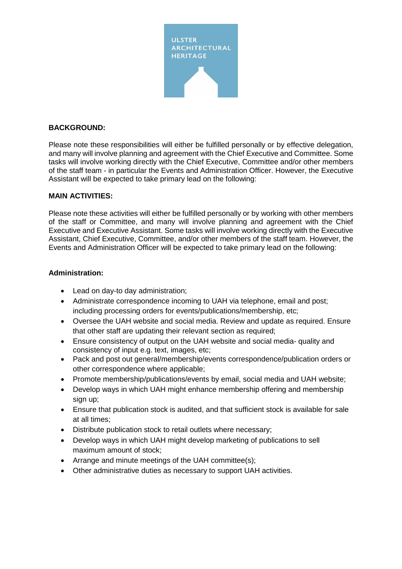

### **BACKGROUND:**

Please note these responsibilities will either be fulfilled personally or by effective delegation, and many will involve planning and agreement with the Chief Executive and Committee. Some tasks will involve working directly with the Chief Executive, Committee and/or other members of the staff team - in particular the Events and Administration Officer. However, the Executive Assistant will be expected to take primary lead on the following:

#### **MAIN ACTIVITIES:**

Please note these activities will either be fulfilled personally or by working with other members of the staff or Committee, and many will involve planning and agreement with the Chief Executive and Executive Assistant. Some tasks will involve working directly with the Executive Assistant, Chief Executive, Committee, and/or other members of the staff team. However, the Events and Administration Officer will be expected to take primary lead on the following:

#### **Administration:**

- Lead on day-to day administration;
- Administrate correspondence incoming to UAH via telephone, email and post; including processing orders for events/publications/membership, etc;
- Oversee the UAH website and social media. Review and update as required. Ensure that other staff are updating their relevant section as required;
- Ensure consistency of output on the UAH website and social media- quality and consistency of input e.g. text, images, etc;
- Pack and post out general/membership/events correspondence/publication orders or other correspondence where applicable;
- Promote membership/publications/events by email, social media and UAH website;
- Develop ways in which UAH might enhance membership offering and membership sign up;
- Ensure that publication stock is audited, and that sufficient stock is available for sale at all times;
- Distribute publication stock to retail outlets where necessary;
- Develop ways in which UAH might develop marketing of publications to sell maximum amount of stock;
- Arrange and minute meetings of the UAH committee(s);
- Other administrative duties as necessary to support UAH activities.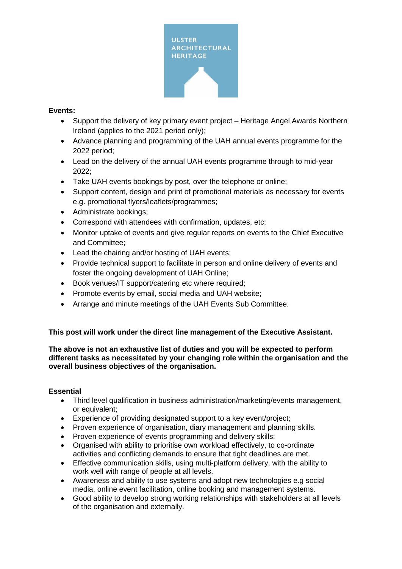

### **Events:**

- Support the delivery of key primary event project Heritage Angel Awards Northern Ireland (applies to the 2021 period only);
- Advance planning and programming of the UAH annual events programme for the 2022 period;
- Lead on the delivery of the annual UAH events programme through to mid-year 2022;
- Take UAH events bookings by post, over the telephone or online:
- Support content, design and print of promotional materials as necessary for events e.g. promotional flyers/leaflets/programmes;
- Administrate bookings;
- Correspond with attendees with confirmation, updates, etc;
- Monitor uptake of events and give regular reports on events to the Chief Executive and Committee;
- Lead the chairing and/or hosting of UAH events;
- Provide technical support to facilitate in person and online delivery of events and foster the ongoing development of UAH Online;
- Book venues/IT support/catering etc where required;
- Promote events by email, social media and UAH website;
- Arrange and minute meetings of the UAH Events Sub Committee.

## **This post will work under the direct line management of the Executive Assistant.**

**The above is not an exhaustive list of duties and you will be expected to perform different tasks as necessitated by your changing role within the organisation and the overall business objectives of the organisation.** 

#### **Essential**

- Third level qualification in business administration/marketing/events management, or equivalent;
- Experience of providing designated support to a key event/project;
- Proven experience of organisation, diary management and planning skills.
- Proven experience of events programming and delivery skills;
- Organised with ability to prioritise own workload effectively, to co-ordinate activities and conflicting demands to ensure that tight deadlines are met.
- Effective communication skills, using multi-platform delivery, with the ability to work well with range of people at all levels.
- Awareness and ability to use systems and adopt new technologies e.g social media, online event facilitation, online booking and management systems.
- Good ability to develop strong working relationships with stakeholders at all levels of the organisation and externally.